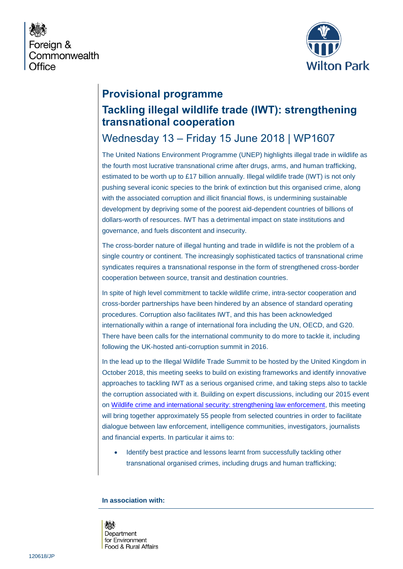



### **Provisional programme**

# **Tackling illegal wildlife trade (IWT): strengthening transnational cooperation**

## Wednesday 13 – Friday 15 June 2018 | WP1607

The United Nations Environment Programme (UNEP) highlights illegal trade in wildlife as the fourth most lucrative transnational crime after drugs, arms, and human trafficking, estimated to be worth up to £17 billion annually. Illegal wildlife trade (IWT) is not only pushing several iconic species to the brink of extinction but this organised crime, along with the associated corruption and illicit financial flows, is undermining sustainable development by depriving some of the poorest aid-dependent countries of billions of dollars-worth of resources. IWT has a detrimental impact on state institutions and governance, and fuels discontent and insecurity.

The cross-border nature of illegal hunting and trade in wildlife is not the problem of a single country or continent. The increasingly sophisticated tactics of transnational crime syndicates requires a transnational response in the form of strengthened cross-border cooperation between source, transit and destination countries.

In spite of high level commitment to tackle wildlife crime, intra-sector cooperation and cross-border partnerships have been hindered by an absence of standard operating procedures. Corruption also facilitates IWT, and this has been acknowledged internationally within a range of international fora including the UN, OECD, and G20. There have been calls for the international community to do more to tackle it, including following the UK-hosted anti-corruption summit in 2016.

In the lead up to the Illegal Wildlife Trade Summit to be hosted by the United Kingdom in October 2018, this meeting seeks to build on existing frameworks and identify innovative approaches to tackling IWT as a serious organised crime, and taking steps also to tackle the corruption associated with it. Building on expert discussions, including our 2015 event on [Wildlife crime and international security: strengthening law enforcement,](https://www.wiltonpark.org.uk/event/wp1423/) this meeting will bring together approximately 55 people from selected countries in order to facilitate dialogue between law enforcement, intelligence communities, investigators, journalists and financial experts. In particular it aims to:

Identify best practice and lessons learnt from successfully tackling other transnational organised crimes, including drugs and human trafficking;

#### **In association with:**

燃 Department for Environment Food & Rural Affairs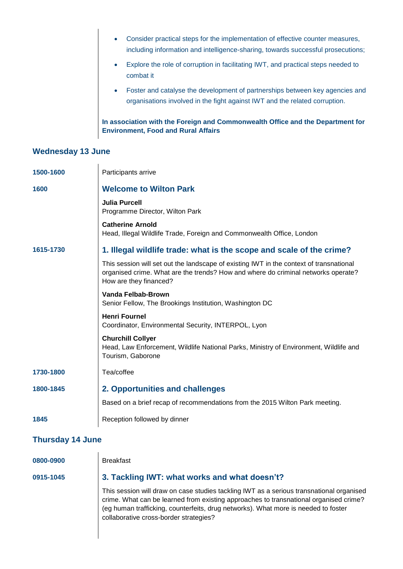- Consider practical steps for the implementation of effective counter measures, including information and intelligence-sharing, towards successful prosecutions;
- Explore the role of corruption in facilitating IWT, and practical steps needed to combat it
- Foster and catalyse the development of partnerships between key agencies and organisations involved in the fight against IWT and the related corruption.

**In association with the Foreign and Commonwealth Office and the Department for Environment, Food and Rural Affairs** 

### **Wednesday 13 June**

| 1500-1600               | Participants arrive                                                                                                                                                                                    |  |
|-------------------------|--------------------------------------------------------------------------------------------------------------------------------------------------------------------------------------------------------|--|
| 1600                    | <b>Welcome to Wilton Park</b>                                                                                                                                                                          |  |
|                         | <b>Julia Purcell</b><br>Programme Director, Wilton Park                                                                                                                                                |  |
|                         | <b>Catherine Arnold</b><br>Head, Illegal Wildlife Trade, Foreign and Commonwealth Office, London                                                                                                       |  |
| 1615-1730               | 1. Illegal wildlife trade: what is the scope and scale of the crime?                                                                                                                                   |  |
|                         | This session will set out the landscape of existing IWT in the context of transnational<br>organised crime. What are the trends? How and where do criminal networks operate?<br>How are they financed? |  |
|                         | Vanda Felbab-Brown<br>Senior Fellow, The Brookings Institution, Washington DC                                                                                                                          |  |
|                         | <b>Henri Fournel</b><br>Coordinator, Environmental Security, INTERPOL, Lyon                                                                                                                            |  |
|                         | <b>Churchill Collyer</b><br>Head, Law Enforcement, Wildlife National Parks, Ministry of Environment, Wildlife and<br>Tourism, Gaborone                                                                 |  |
| 1730-1800               | Tea/coffee                                                                                                                                                                                             |  |
| 1800-1845               | 2. Opportunities and challenges                                                                                                                                                                        |  |
|                         | Based on a brief recap of recommendations from the 2015 Wilton Park meeting.                                                                                                                           |  |
| 1845                    | Reception followed by dinner                                                                                                                                                                           |  |
| <b>Thursday 14 June</b> |                                                                                                                                                                                                        |  |
|                         |                                                                                                                                                                                                        |  |

| 0800-0900 | <b>Breakfast</b>                                                                                                                                                                                                                                                                                                  |
|-----------|-------------------------------------------------------------------------------------------------------------------------------------------------------------------------------------------------------------------------------------------------------------------------------------------------------------------|
| 0915-1045 | 3. Tackling IWT: what works and what doesn't?                                                                                                                                                                                                                                                                     |
|           | This session will draw on case studies tackling IWT as a serious transnational organised<br>crime. What can be learned from existing approaches to transnational organised crime?<br>(eg human trafficking, counterfeits, drug networks). What more is needed to foster<br>collaborative cross-border strategies? |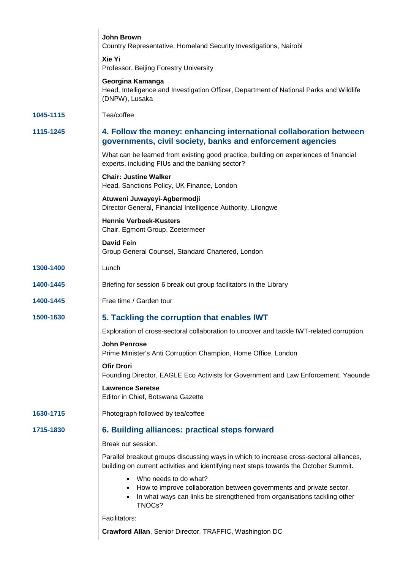|           | <b>John Brown</b><br>Country Representative, Homeland Security Investigations, Nairobi                                                                                              |
|-----------|-------------------------------------------------------------------------------------------------------------------------------------------------------------------------------------|
|           | Xie Yi<br>Professor, Beijing Forestry University                                                                                                                                    |
|           | Georgina Kamanga<br>Head, Intelligence and Investigation Officer, Department of National Parks and Wildlife<br>(DNPW), Lusaka                                                       |
| 1045-1115 | Tea/coffee                                                                                                                                                                          |
| 1115-1245 | 4. Follow the money: enhancing international collaboration between<br>governments, civil society, banks and enforcement agencies                                                    |
|           | What can be learned from existing good practice, building on experiences of financial<br>experts, including FIUs and the banking sector?                                            |
|           | <b>Chair: Justine Walker</b><br>Head, Sanctions Policy, UK Finance, London                                                                                                          |
|           | Atuweni Juwayeyi-Agbermodji<br>Director General, Financial Intelligence Authority, Lilongwe                                                                                         |
|           | <b>Hennie Verbeek-Kusters</b><br>Chair, Egmont Group, Zoetermeer                                                                                                                    |
|           | <b>David Fein</b><br>Group General Counsel, Standard Chartered, London                                                                                                              |
| 1300-1400 | Lunch                                                                                                                                                                               |
| 1400-1445 | Briefing for session 6 break out group facilitators in the Library                                                                                                                  |
| 1400-1445 | Free time / Garden tour                                                                                                                                                             |
| 1500-1630 | 5. Tackling the corruption that enables IWT                                                                                                                                         |
|           | Exploration of cross-sectoral collaboration to uncover and tackle IWT-related corruption.                                                                                           |
|           | <b>John Penrose</b><br>Prime Minister's Anti Corruption Champion, Home Office, London                                                                                               |
|           | <b>Ofir Drori</b><br>Founding Director, EAGLE Eco Activists for Government and Law Enforcement, Yaounde                                                                             |
|           | <b>Lawrence Seretse</b><br>Editor in Chief, Botswana Gazette                                                                                                                        |
| 1630-1715 | Photograph followed by tea/coffee                                                                                                                                                   |
| 1715-1830 | 6. Building alliances: practical steps forward                                                                                                                                      |
|           | Break out session.                                                                                                                                                                  |
|           | Parallel breakout groups discussing ways in which to increase cross-sectoral alliances,<br>building on current activities and identifying next steps towards the October Summit.    |
|           | Who needs to do what?<br>How to improve collaboration between governments and private sector.<br>In what ways can links be strengthened from organisations tackling other<br>TNOCs? |
|           | Facilitators:                                                                                                                                                                       |
|           | Crawford Allan, Senior Director, TRAFFIC, Washington DC                                                                                                                             |